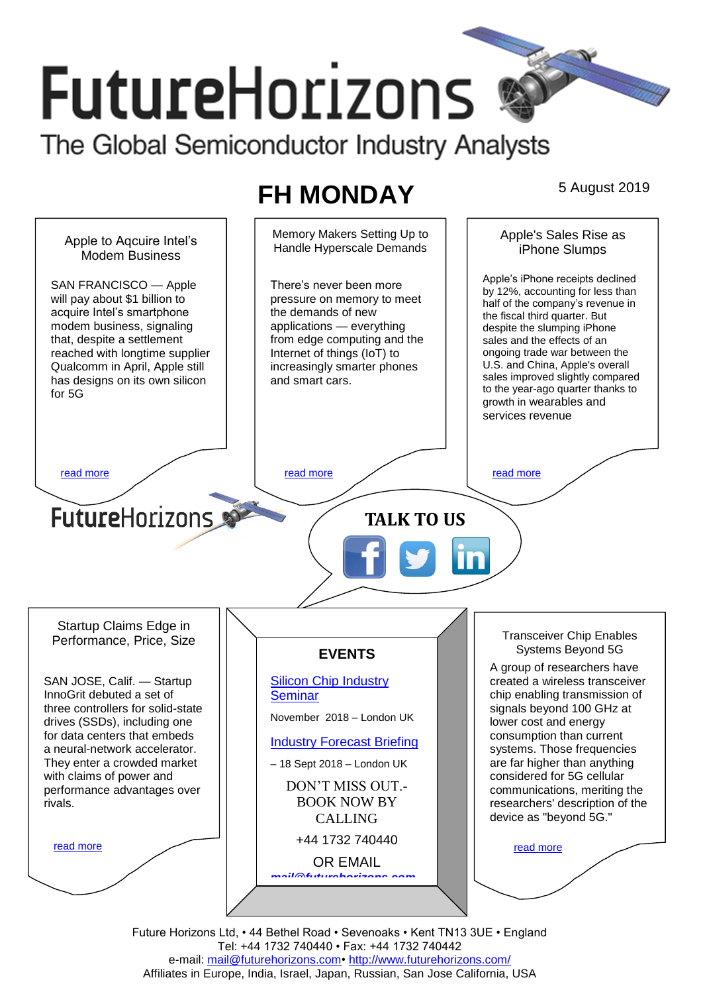# **FutureHorizons**

The Global Semiconductor Industry Analysts

## **FH MONDAY** 5 August 2019

Memory Makers Setting Up to Apple's Sales Rise as Apple to Aqcuire Intel's Handle Hyperscale Demands iPhone Slumps Modem Business Apple's iPhone receipts declined SAN FRANCISCO — Apple There's never been more by 12%, accounting for less than will pay about \$1 billion to pressure on memory to meet half of the company's revenue in acquire Intel's smartphone the demands of new the fiscal third quarter. But modem business, signaling applications — everything despite the slumping iPhone that, despite a settlement from edge computing and the sales and the effects of an ongoing trade war between the reached with longtime supplier Internet of things (IoT) to U.S. and China, Apple's overall Qualcomm in April, Apple still increasingly smarter phones sales improved slightly compared has designs on its own silicon and smart cars. to the year-ago quarter thanks to for 5G growth in wearables and services revenue [read more](#page-1-1) that the second contract the second contract of the read more that the read more that the read more **Future**Horizons **TALK TO US** Startup Claims Edge in Transceiver Chip Enables Performance, Price, Size Systems Beyond 5G **EVENTS** A group of researchers have SAN JOSE, Calif. — Startup [Silicon Chip Industry](http://www.futurehorizons.com/page/12/silicon-chip-training)  created a wireless transceiver InnoGrit debuted a set of **[Seminar](http://www.futurehorizons.com/page/12/silicon-chip-training)** chip enabling transmission of signals beyond 100 GHz at three controllers for solid-state November 2018 – London UK drives (SSDs), including one lower cost and energy for data centers that embeds consumption than current [Industry Forecast Briefing](http://www.futurehorizons.com/page/13/Semiconductor-Market-Forecast-Seminar) a neural-network accelerator. systems. Those frequencies They enter a crowded market are far higher than anything – 18 Sept 2018 – London UK considered for 5G cellular with claims of power and DON'T MISS OUT. performance advantages over communications, meriting the BOOK NOW BY researchers' description of the rivals.device as "beyond 5G." CALLING +44 1732 740440 [read more](#page-1-3) [read more](#page-1-4) OR EMAIL *[mail@futurehorizons.com](mailto:mail@futurehorizons.com)*

> Future Horizons Ltd, • 44 Bethel Road • Sevenoaks • Kent TN13 3UE • England Tel: +44 1732 740440 • Fax: +44 1732 740442 e-mail: mail@futurehorizons.com• http://www.futurehorizons.com/ Affiliates in Europe, India, Israel, Japan, Russian, San Jose California, USA